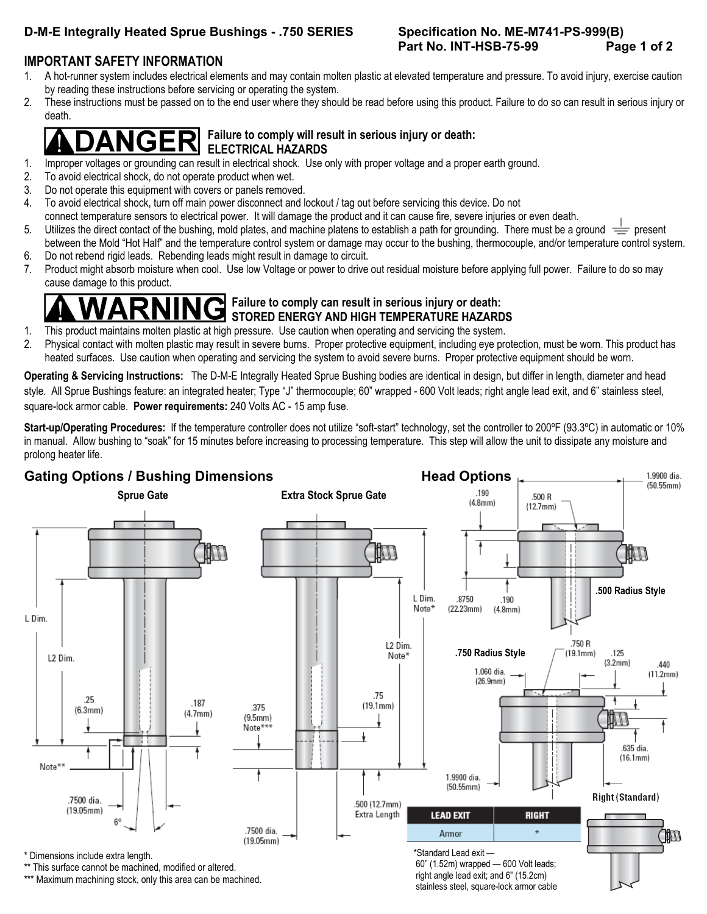# D-M-E Integrally Heated Sprue Bushings - .750 SERIES Specification No. ME-M741-PS-999(B)

# **Part No. INT-HSB-75-99 Page 1 of 2**

## **IMPORTANT SAFETY INFORMATION**

- 1. A hot-runner system includes electrical elements and may contain molten plastic at elevated temperature and pressure. To avoid injury, exercise caution by reading these instructions before servicing or operating the system.
- 2. These instructions must be passed on to the end user where they should be read before using this product. Failure to do so can result in serious injury or death.

### $\left| \mathbf{GER} \right|$  Failure to comply will result in serious injury or death:  **ELECTRICAL HAZARDS**

- 1. Improper voltages or grounding can result in electrical shock. Use only with proper voltage and a proper earth ground.
- 2. To avoid electrical shock, do not operate product when wet.
- 3. Do not operate this equipment with covers or panels removed.
- 4. To avoid electrical shock, turn off main power disconnect and lockout / tag out before servicing this device. Do not
- connect temperature sensors to electrical power. It will damage the product and it can cause fire, severe injuries or even death.
- 5. Utilizes the direct contact of the bushing, mold plates, and machine platens to establish a path for grounding. There must be a ground  $\equiv$  present between the Mold "Hot Half" and the temperature control system or damage may occur to the bushing, thermocouple, and/or temperature control system.
- 6. Do not rebend rigid leads. Rebending leads might result in damage to circuit.
- 7. Product might absorb moisture when cool. Use low Voltage or power to drive out residual moisture before applying full power. Failure to do so may cause damage to this product.

# **Failure to comply can result in serious injury or death: STORED ENERGY AND HIGH TEMPERATURE HAZARDS**

- 1. This product maintains molten plastic at high pressure. Use caution when operating and servicing the system.
- 2. Physical contact with molten plastic may result in severe burns. Proper protective equipment, including eye protection, must be worn. This product has heated surfaces. Use caution when operating and servicing the system to avoid severe burns. Proper protective equipment should be worn.

**Operating & Servicing Instructions:** The D-M-E Integrally Heated Sprue Bushing bodies are identical in design, but differ in length, diameter and head style. All Sprue Bushings feature: an integrated heater; Type "J" thermocouple; 60" wrapped - 600 Volt leads; right angle lead exit, and 6" stainless steel, square-lock armor cable. **Power requirements:** 240 Volts AC - 15 amp fuse.

Start-up/Operating Procedures: If the temperature controller does not utilize "soft-start" technology, set the controller to 200°F (93.3°C) in automatic or 10% in manual. Allow bushing to "soak" for 15 minutes before increasing to processing temperature. This step will allow the unit to dissipate any moisture and prolong heater life.